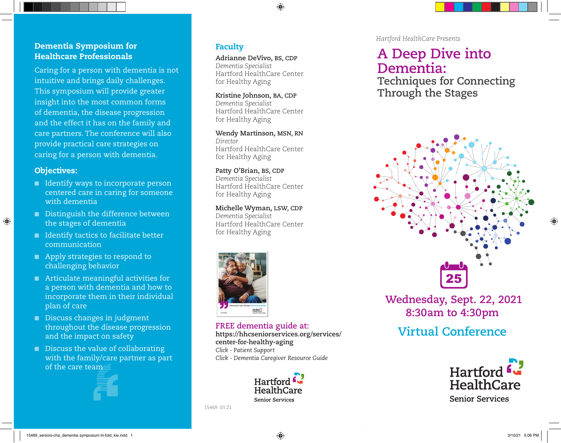#### Dementia Symposium for Healthcare Professionals

Caring for a person with dementia is not intuitive and brings daily challenges. This symposium will provide greater insight into the most common forms of dementia, the disease progression and the effect it has on the family and care partners. The conference will also provide practical care strategies on caring for a person with dementia.

#### Objectives:

⊕

- Identify ways to incorporate person centered care in caring for someone with dementia
- Distinguish the difference between the stages of dementia
- Identify tactics to facilitate better communication
- Apply strategies to respond to challenging behavior
- Articulate meaningful activities for a person with dementia and how to incorporate them in their individual plan of care
- Discuss changes in judgment throughout the disease progression and the impact on safety
- Discuss the value of collaborating with the family/care partner as part of the care team



#### Faculty

**Adrianne DeVivo, BS, CDP** *Dementia Specialist*  Hartford HealthCare Center for Healthy Aging

♠

**Kristine Johnson, BA, CDP** *Dementia Specialist* Hartford HealthCare Center for Healthy Aging

**Wendy Martinson, MSN, RN** *Director*  Hartford HealthCare Center for Healthy Aging

**Patty O'Brian, BS, CDP** *Dementia Specialist* Hartford HealthCare Center for Healthy Aging

**Michelle Wyman, LSW, CDP** *Dementia Specialist* Hartford HealthCare Center for Healthy Aging



**FREE dementia guide at: https://hhcseniorservices.org/services/ center-for-healthy-aging**  *Click - Patient Support Click - Dementia Caregiver Resource Guide*



15469 03.21

*Hartford HealthCare Presents* 

# **A Deep Dive into Dementia:**

**Techniques for Connecting Through the Stages**



 **Wednesday, Sept. 22, 2021 8:30am to 4:30pm Virtual Conference** 

# Hartford L HealthCare **Senior Services**

15469\_seniors-cha\_dementia symposium tri-fold\_kie.indd 1 3/10/21 5:06 PM